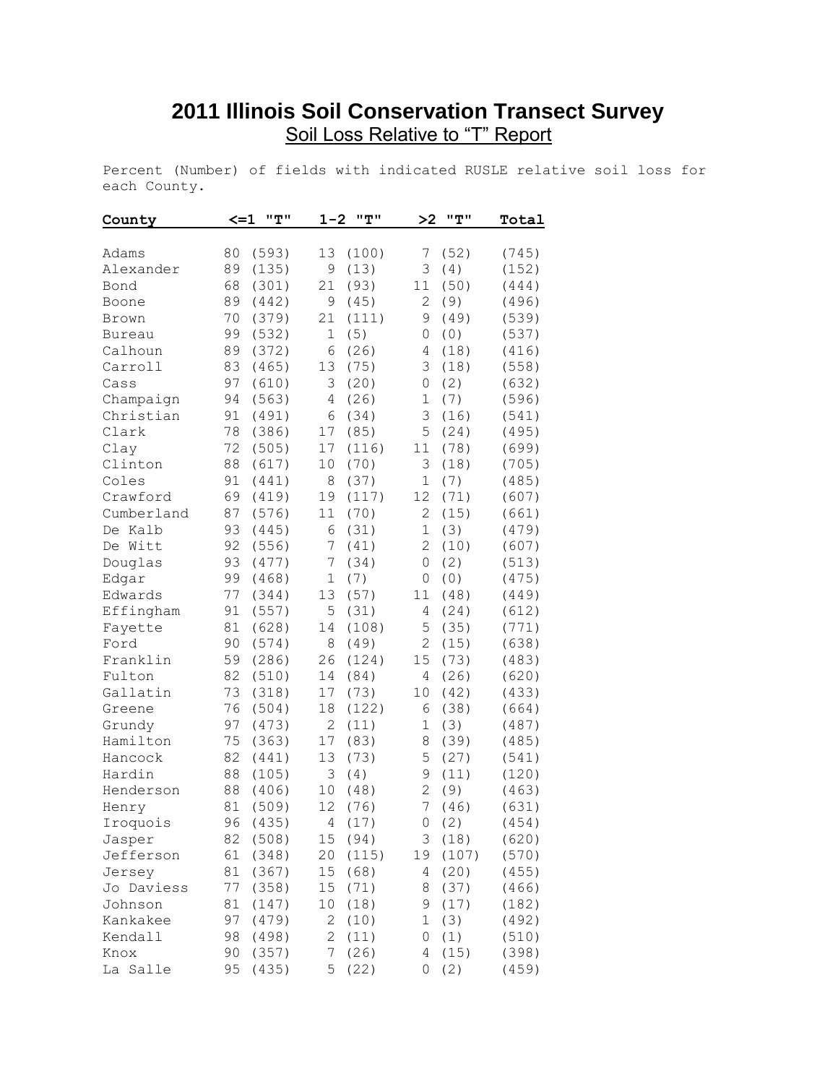## **2011 Illinois Soil Conservation Transect Survey** Soil Loss Relative to "T" Report

Percent (Number) of fields with indicated RUSLE relative soil loss for each County.

| County     | $\leq$ $-1$ | "T"      | $1 - 2$        | "T"    | >2             | "T"   | Total |
|------------|-------------|----------|----------------|--------|----------------|-------|-------|
| Adams      | 80          | (593)    | 13             | (100)  | 7              | (52)  | (745) |
| Alexander  | 89          | (135)    | 9              | (13)   | 3              | (4)   | (152) |
| Bond       | 68          | (301)    | 21             | (93)   | 11             | (50)  | (444) |
| Boone      | 89          | (442)    | 9              | (45)   | 2              | (9)   | (496) |
| Brown      | 70          | (379)    | 21             | (111)  | 9              | (49)  | (539) |
| Bureau     | 99          | (532)    | $\mathbf 1$    | (5)    | 0              | (0)   | (537) |
| Calhoun    | 89          | (372)    | 6              | (26)   | 4              | (18)  | (416) |
| Carroll    | 83          | (465)    | 13             | (75)   | 3              | (18)  | (558) |
| Cass       | 97          | (610)    | 3              | (20)   | 0              | (2)   | (632) |
| Champaign  | 94          | (563)    | 4              | (26)   | 1              | (7)   | (596) |
| Christian  | 91          | (491)    | 6              | (34)   | 3              | (16)  | (541) |
| Clark      | 78          | (386)    | 17             | (85)   | 5              | (24)  | (495) |
| Clay       | 72          | (505)    | 17             | (116)  | 11             | (78)  | (699) |
| Clinton    | 88          | (617)    | 10             | (70)   | 3              | (18)  | (705) |
| Coles      | 91          | (441)    | 8              | (37)   | 1              | (7)   | (485) |
| Crawford   | 69          | (419)    | 19             | (117)  | 12             | (71)  | (607) |
| Cumberland | 87          | (576)    | 11             | (70)   | $\mathbf{2}$   | (15)  | (661) |
| De Kalb    | 93          | (445)    | 6              | (31)   | $\mathbf 1$    | (3)   | (479) |
| De Witt    | 92          | (556)    | 7              | (41)   | $\mathbf{2}$   | (10)  | (607) |
| Douglas    | 93          | (477)    | 7              | (34)   | 0              | (2)   | (513) |
| Edgar      | 99          | (468)    | $\mathbf 1$    | (7)    | 0              | (0)   | (475) |
| Edwards    | 77          | (344)    | 13             | (57)   | 11             | (48)  | (449) |
| Effingham  | 91          | (557)    | 5              | (31)   | 4              | (24)  | (612) |
| Fayette    | 81          | (628)    | 14             | (108)  | 5              | (35)  | (771) |
| Ford       | 90          | (574)    | 8              | (49)   | 2              | (15)  | (638) |
| Franklin   | 59          | (286)    | 26             | (124)  | 15             | (73)  | (483) |
| Fulton     | 82          | (510)    | 14             | (84)   | 4              | (26)  | (620) |
| Gallatin   | 73          | (318)    | 17             | (73)   | 10             | (42)  | (433) |
| Greene     | 76          | (504)    | 18             | (122)  | 6              | (38)  | (664) |
| Grundy     | 97          | (473)    | $\overline{c}$ | (11)   | 1              | (3)   | (487) |
| Hamilton   | 75          | (363)    | 17             | (83)   | 8              | (39)  | (485) |
| Hancock    | 82          | (441)    | 13             | (73)   | 5              | (27)  | (541) |
| Hardin     | 88          | (105)    | 3              | (4)    | 9              | (11)  | (120) |
| Henderson  | 88          | (406)    | 10             | (48)   | $\overline{2}$ | (9)   | (463) |
| Henry      | 81          | (509)    | 12             | (76)   | 7              | (46)  | (631) |
| Iroquois   |             | 96 (435) |                | 4 (17) |                | 0(2)  | (454) |
| Jasper     | 82          | (508)    | 15             | (94)   | 3              | (18)  | (620) |
| Jefferson  | 61          | (348)    | 20             | (115)  | 19             | (107) | (570) |
| Jersey     | 81          | (367)    | 15             | (68)   | 4              | (20)  | (455) |
| Jo Daviess | 77          | (358)    | 15             | (71)   | 8              | (37)  | (466) |
| Johnson    | 81          | (147)    | 10             | (18)   | 9              | (17)  | (182) |
| Kankakee   | 97          | (479)    | 2              | (10)   | 1              | (3)   | (492) |
| Kendall    | 98          | (498)    | $\overline{2}$ | (11)   | 0              | (1)   | (510) |
| Knox       | 90          | (357)    | 7              | (26)   | 4              | (15)  | (398) |
| La Salle   | 95          | (435)    | 5              | (22)   | 0              | (2)   | (459) |